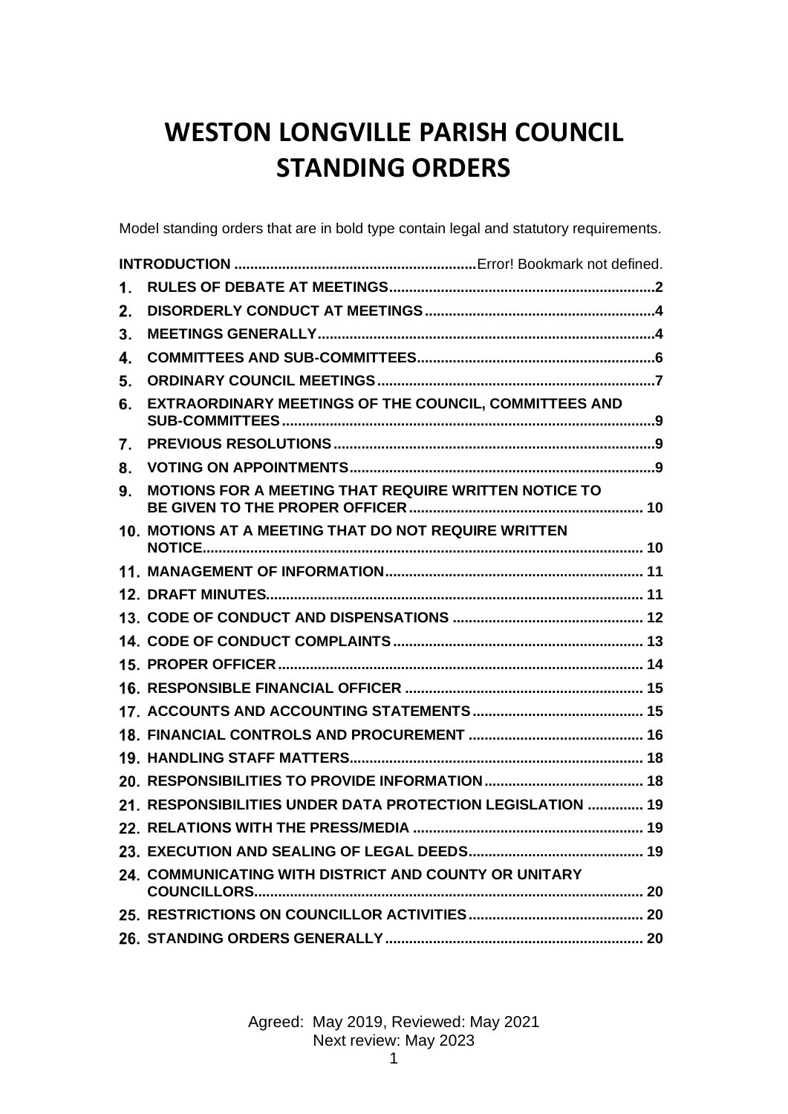# **WESTON LONGVILLE PARISH COUNCIL STANDING ORDERS**

Model standing orders that are in bold type contain legal and statutory requirements.

| 1. |                                                            |  |
|----|------------------------------------------------------------|--|
| 2. |                                                            |  |
| 3. |                                                            |  |
| 4. |                                                            |  |
| 5. |                                                            |  |
| 6. | EXTRAORDINARY MEETINGS OF THE COUNCIL, COMMITTEES AND      |  |
| 7. |                                                            |  |
| 8. |                                                            |  |
| 9. | MOTIONS FOR A MEETING THAT REQUIRE WRITTEN NOTICE TO       |  |
|    | 10. MOTIONS AT A MEETING THAT DO NOT REQUIRE WRITTEN       |  |
|    |                                                            |  |
|    |                                                            |  |
|    |                                                            |  |
|    |                                                            |  |
|    |                                                            |  |
|    |                                                            |  |
|    |                                                            |  |
|    |                                                            |  |
|    |                                                            |  |
|    |                                                            |  |
|    | 21. RESPONSIBILITIES UNDER DATA PROTECTION LEGISLATION  19 |  |
|    |                                                            |  |
|    |                                                            |  |
|    | 24. COMMUNICATING WITH DISTRICT AND COUNTY OR UNITARY      |  |
|    |                                                            |  |
|    |                                                            |  |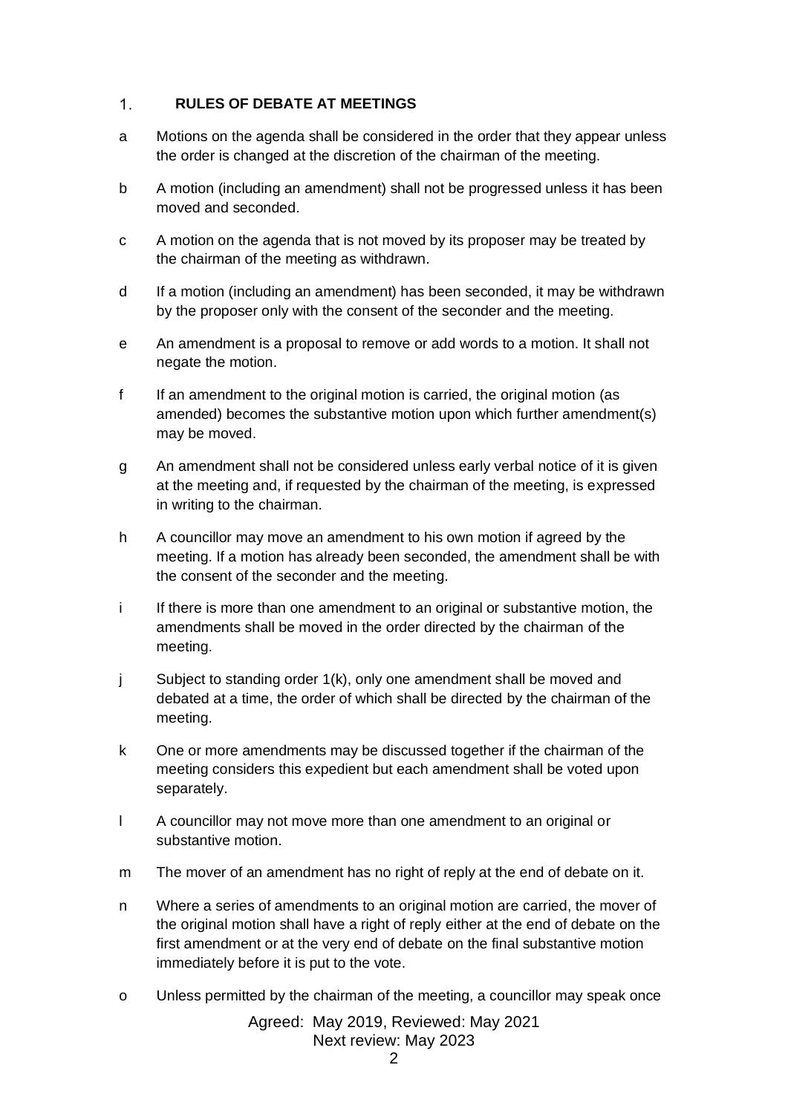#### <span id="page-1-0"></span> $1.$ **RULES OF DEBATE AT MEETINGS**

- a Motions on the agenda shall be considered in the order that they appear unless the order is changed at the discretion of the chairman of the meeting.
- b A motion (including an amendment) shall not be progressed unless it has been moved and seconded.
- c A motion on the agenda that is not moved by its proposer may be treated by the chairman of the meeting as withdrawn.
- d If a motion (including an amendment) has been seconded, it may be withdrawn by the proposer only with the consent of the seconder and the meeting.
- e An amendment is a proposal to remove or add words to a motion. It shall not negate the motion.
- f If an amendment to the original motion is carried, the original motion (as amended) becomes the substantive motion upon which further amendment(s) may be moved.
- g An amendment shall not be considered unless early verbal notice of it is given at the meeting and, if requested by the chairman of the meeting, is expressed in writing to the chairman.
- h A councillor may move an amendment to his own motion if agreed by the meeting. If a motion has already been seconded, the amendment shall be with the consent of the seconder and the meeting.
- i If there is more than one amendment to an original or substantive motion, the amendments shall be moved in the order directed by the chairman of the meeting.
- j Subject to standing order 1(k), only one amendment shall be moved and debated at a time, the order of which shall be directed by the chairman of the meeting.
- k One or more amendments may be discussed together if the chairman of the meeting considers this expedient but each amendment shall be voted upon separately.
- l A councillor may not move more than one amendment to an original or substantive motion.
- m The mover of an amendment has no right of reply at the end of debate on it.
- n Where a series of amendments to an original motion are carried, the mover of the original motion shall have a right of reply either at the end of debate on the first amendment or at the very end of debate on the final substantive motion immediately before it is put to the vote.
- o Unless permitted by the chairman of the meeting, a councillor may speak once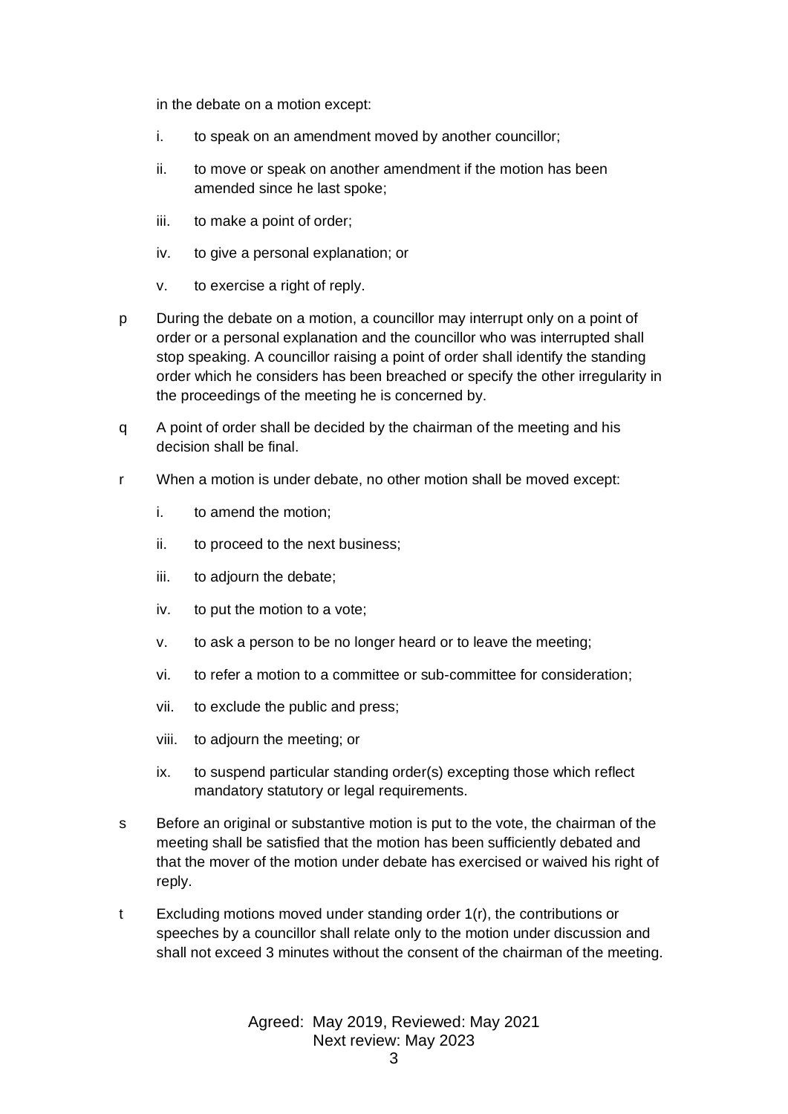in the debate on a motion except:

- i. to speak on an amendment moved by another councillor;
- ii. to move or speak on another amendment if the motion has been amended since he last spoke;
- iii. to make a point of order;
- iv. to give a personal explanation; or
- v. to exercise a right of reply.
- p During the debate on a motion, a councillor may interrupt only on a point of order or a personal explanation and the councillor who was interrupted shall stop speaking. A councillor raising a point of order shall identify the standing order which he considers has been breached or specify the other irregularity in the proceedings of the meeting he is concerned by.
- q A point of order shall be decided by the chairman of the meeting and his decision shall be final.
- r When a motion is under debate, no other motion shall be moved except:
	- i. to amend the motion;
	- ii. to proceed to the next business;
	- iii. to adjourn the debate;
	- iv. to put the motion to a vote;
	- v. to ask a person to be no longer heard or to leave the meeting;
	- vi. to refer a motion to a committee or sub-committee for consideration;
	- vii. to exclude the public and press;
	- viii. to adjourn the meeting; or
	- ix. to suspend particular standing order(s) excepting those which reflect mandatory statutory or legal requirements.
- s Before an original or substantive motion is put to the vote, the chairman of the meeting shall be satisfied that the motion has been sufficiently debated and that the mover of the motion under debate has exercised or waived his right of reply.
- t Excluding motions moved under standing order 1(r), the contributions or speeches by a councillor shall relate only to the motion under discussion and shall not exceed 3 minutes without the consent of the chairman of the meeting.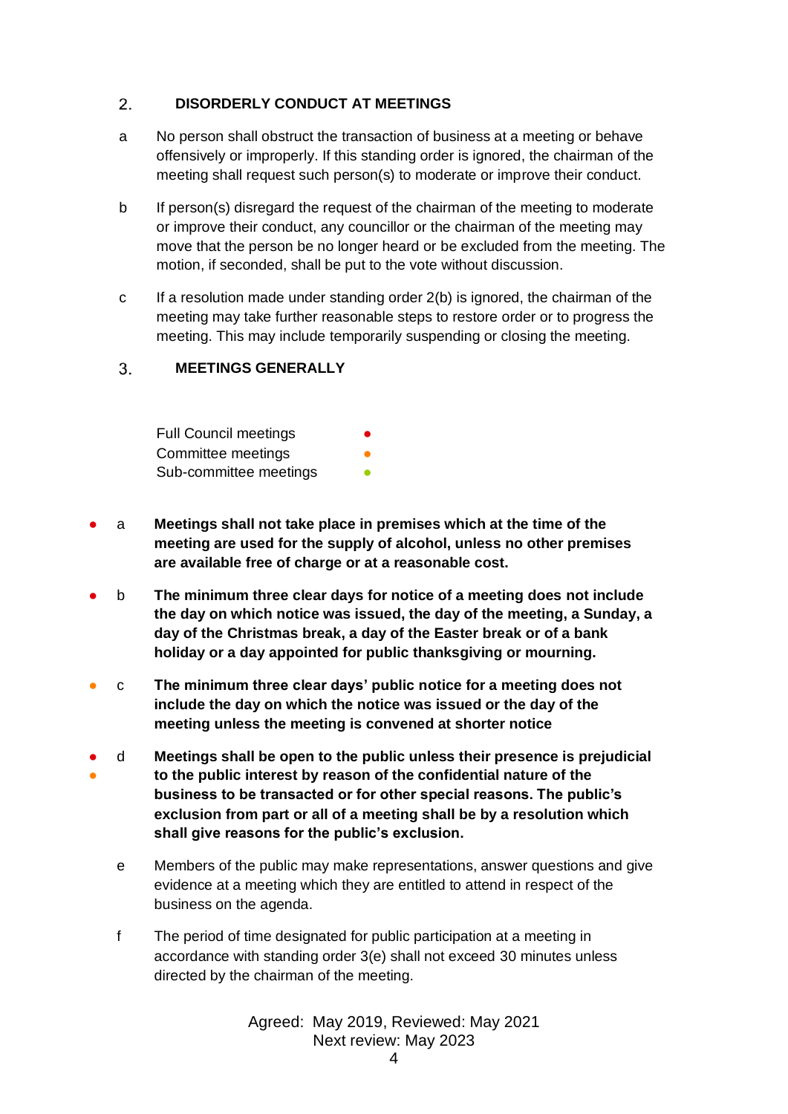#### <span id="page-3-0"></span> $2.$ **DISORDERLY CONDUCT AT MEETINGS**

- a No person shall obstruct the transaction of business at a meeting or behave offensively or improperly. If this standing order is ignored, the chairman of the meeting shall request such person(s) to moderate or improve their conduct.
- b If person(s) disregard the request of the chairman of the meeting to moderate or improve their conduct, any councillor or the chairman of the meeting may move that the person be no longer heard or be excluded from the meeting. The motion, if seconded, shall be put to the vote without discussion.
- c If a resolution made under standing order 2(b) is ignored, the chairman of the meeting may take further reasonable steps to restore order or to progress the meeting. This may include temporarily suspending or closing the meeting.

#### <span id="page-3-1"></span> $3<sub>1</sub>$ **MEETINGS GENERALLY**

| <b>Full Council meetings</b> | ● |
|------------------------------|---|
| Committee meetings           |   |
| Sub-committee meetings       |   |

- a **Meetings shall not take place in premises which at the time of the meeting are used for the supply of alcohol, unless no other premises are available free of charge or at a reasonable cost.**
- b **The minimum three clear days for notice of a meeting does not include the day on which notice was issued, the day of the meeting, a Sunday, a day of the Christmas break, a day of the Easter break or of a bank holiday or a day appointed for public thanksgiving or mourning.**
- c **The minimum three clear days' public notice for a meeting does not include the day on which the notice was issued or the day of the meeting unless the meeting is convened at shorter notice**
- ● d **Meetings shall be open to the public unless their presence is prejudicial to the public interest by reason of the confidential nature of the business to be transacted or for other special reasons. The public's exclusion from part or all of a meeting shall be by a resolution which shall give reasons for the public's exclusion.**
	- e Members of the public may make representations, answer questions and give evidence at a meeting which they are entitled to attend in respect of the business on the agenda.
	- f The period of time designated for public participation at a meeting in accordance with standing order 3(e) shall not exceed 30 minutes unless directed by the chairman of the meeting.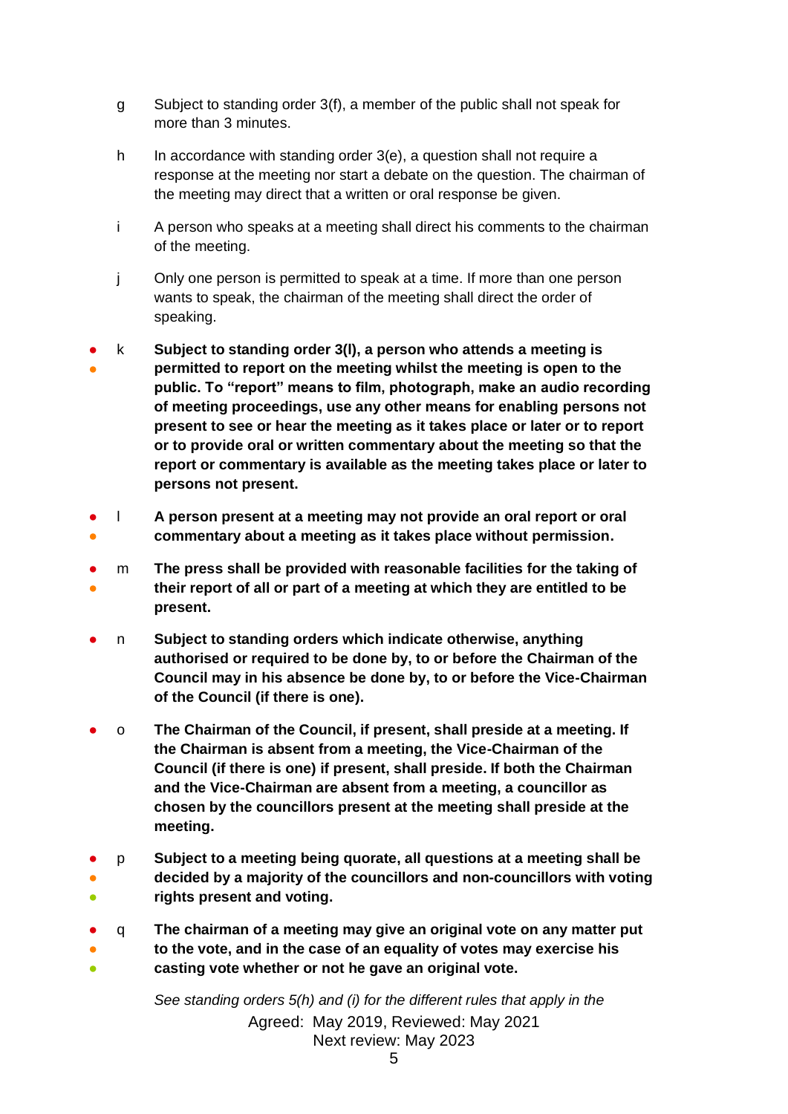- g Subject to standing order 3(f), a member of the public shall not speak for more than 3 minutes.
- h In accordance with standing order 3(e), a question shall not require a response at the meeting nor start a debate on the question. The chairman of the meeting may direct that a written or oral response be given.
- i A person who speaks at a meeting shall direct his comments to the chairman of the meeting.
- j Only one person is permitted to speak at a time. If more than one person wants to speak, the chairman of the meeting shall direct the order of speaking.
- ● k **Subject to standing order 3(l), a person who attends a meeting is permitted to report on the meeting whilst the meeting is open to the public. To "report" means to film, photograph, make an audio recording of meeting proceedings, use any other means for enabling persons not present to see or hear the meeting as it takes place or later or to report or to provide oral or written commentary about the meeting so that the report or commentary is available as the meeting takes place or later to persons not present.**
- ● l **A person present at a meeting may not provide an oral report or oral commentary about a meeting as it takes place without permission.**
- ● m **The press shall be provided with reasonable facilities for the taking of their report of all or part of a meeting at which they are entitled to be present.**
- n **Subject to standing orders which indicate otherwise, anything authorised or required to be done by, to or before the Chairman of the Council may in his absence be done by, to or before the Vice-Chairman of the Council (if there is one).**
- o **The Chairman of the Council, if present, shall preside at a meeting. If the Chairman is absent from a meeting, the Vice-Chairman of the Council (if there is one) if present, shall preside. If both the Chairman and the Vice-Chairman are absent from a meeting, a councillor as chosen by the councillors present at the meeting shall preside at the meeting.**
- p **Subject to a meeting being quorate, all questions at a meeting shall be**
- ● **decided by a majority of the councillors and non-councillors with voting rights present and voting.**
- q **The chairman of a meeting may give an original vote on any matter put**
- ● **to the vote, and in the case of an equality of votes may exercise his casting vote whether or not he gave an original vote.**

Agreed: May 2019, Reviewed: May 2021 Next review: May 2023 *See standing orders 5(h) and (i) for the different rules that apply in the*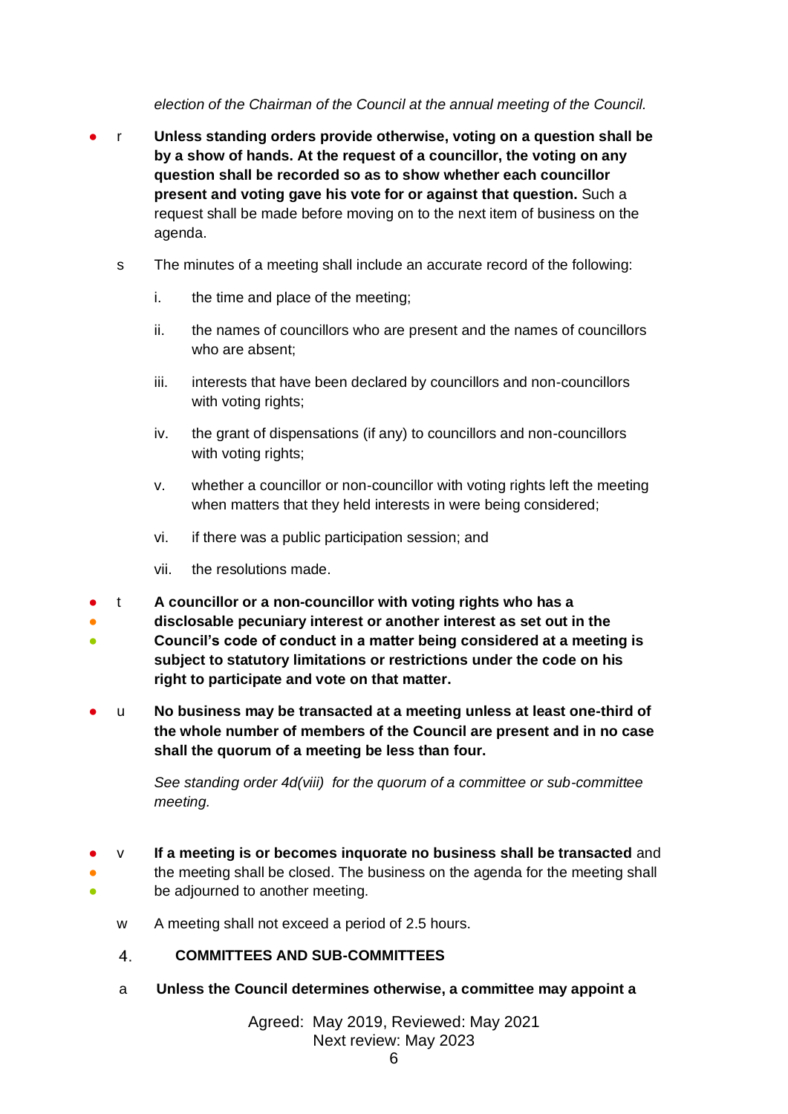*election of the Chairman of the Council at the annual meeting of the Council.*

- r **Unless standing orders provide otherwise, voting on a question shall be by a show of hands. At the request of a councillor, the voting on any question shall be recorded so as to show whether each councillor present and voting gave his vote for or against that question.** Such a request shall be made before moving on to the next item of business on the agenda.
	- s The minutes of a meeting shall include an accurate record of the following:
		- i. the time and place of the meeting;
		- ii. the names of councillors who are present and the names of councillors who are absent;
		- iii. interests that have been declared by councillors and non-councillors with voting rights;
		- iv. the grant of dispensations (if any) to councillors and non-councillors with voting rights;
		- v. whether a councillor or non-councillor with voting rights left the meeting when matters that they held interests in were being considered;
		- vi. if there was a public participation session; and
		- vii. the resolutions made.
- t **A councillor or a non-councillor with voting rights who has a**
- **disclosable pecuniary interest or another interest as set out in the**
- **Council's code of conduct in a matter being considered at a meeting is subject to statutory limitations or restrictions under the code on his right to participate and vote on that matter.**
- u **No business may be transacted at a meeting unless at least one-third of the whole number of members of the Council are present and in no case shall the quorum of a meeting be less than four.**

*See standing order 4d(viii) for the quorum of a committee or sub-committee meeting.* 

- <span id="page-5-0"></span>● ● ● v **If a meeting is or becomes inquorate no business shall be transacted** and the meeting shall be closed. The business on the agenda for the meeting shall be adjourned to another meeting.
	- w A meeting shall not exceed a period of 2.5 hours.
	- $\overline{4}$ **COMMITTEES AND SUB-COMMITTEES**
	- a **Unless the Council determines otherwise, a committee may appoint a**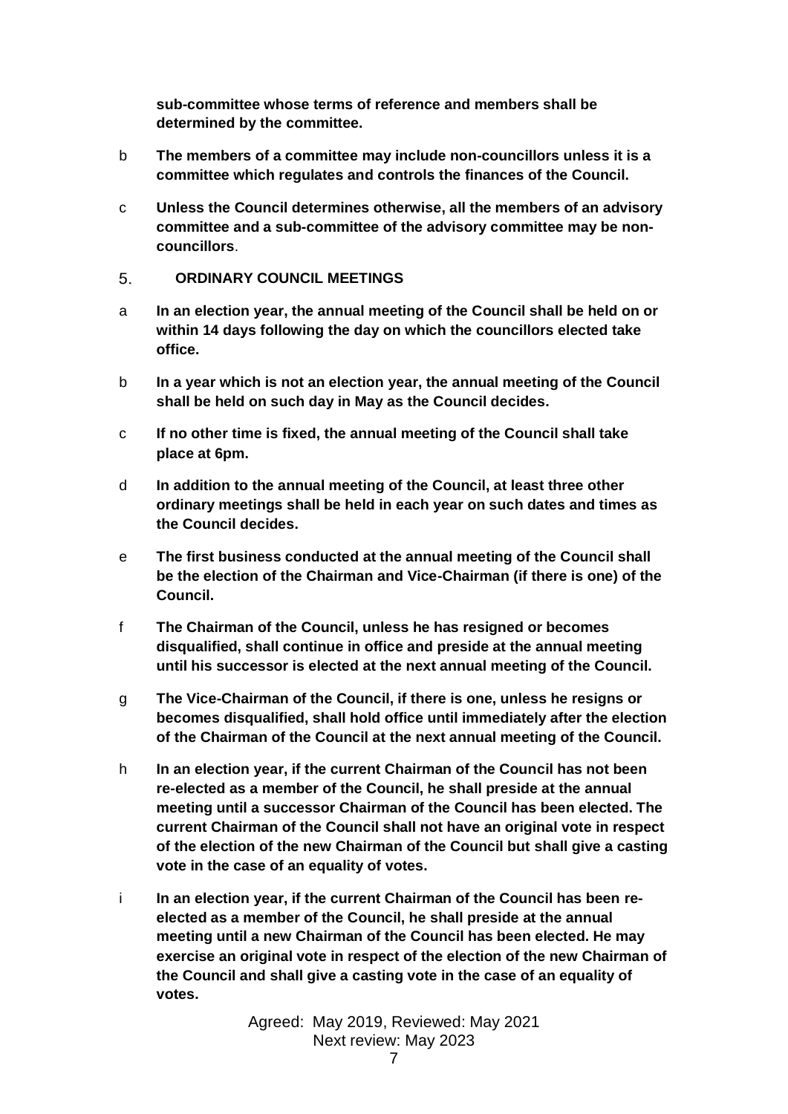**sub-committee whose terms of reference and members shall be determined by the committee.**

- b **The members of a committee may include non-councillors unless it is a committee which regulates and controls the finances of the Council.**
- c **Unless the Council determines otherwise, all the members of an advisory committee and a sub-committee of the advisory committee may be noncouncillors**.
- <span id="page-6-0"></span>5. **ORDINARY COUNCIL MEETINGS**
- a **In an election year, the annual meeting of the Council shall be held on or within 14 days following the day on which the councillors elected take office.**
- b **In a year which is not an election year, the annual meeting of the Council shall be held on such day in May as the Council decides.**
- c **If no other time is fixed, the annual meeting of the Council shall take place at 6pm.**
- d **In addition to the annual meeting of the Council, at least three other ordinary meetings shall be held in each year on such dates and times as the Council decides.**
- e **The first business conducted at the annual meeting of the Council shall be the election of the Chairman and Vice-Chairman (if there is one) of the Council.**
- f **The Chairman of the Council, unless he has resigned or becomes disqualified, shall continue in office and preside at the annual meeting until his successor is elected at the next annual meeting of the Council.**
- g **The Vice-Chairman of the Council, if there is one, unless he resigns or becomes disqualified, shall hold office until immediately after the election of the Chairman of the Council at the next annual meeting of the Council.**
- h **In an election year, if the current Chairman of the Council has not been re-elected as a member of the Council, he shall preside at the annual meeting until a successor Chairman of the Council has been elected. The current Chairman of the Council shall not have an original vote in respect of the election of the new Chairman of the Council but shall give a casting vote in the case of an equality of votes.**
- i **In an election year, if the current Chairman of the Council has been reelected as a member of the Council, he shall preside at the annual meeting until a new Chairman of the Council has been elected. He may exercise an original vote in respect of the election of the new Chairman of the Council and shall give a casting vote in the case of an equality of votes.**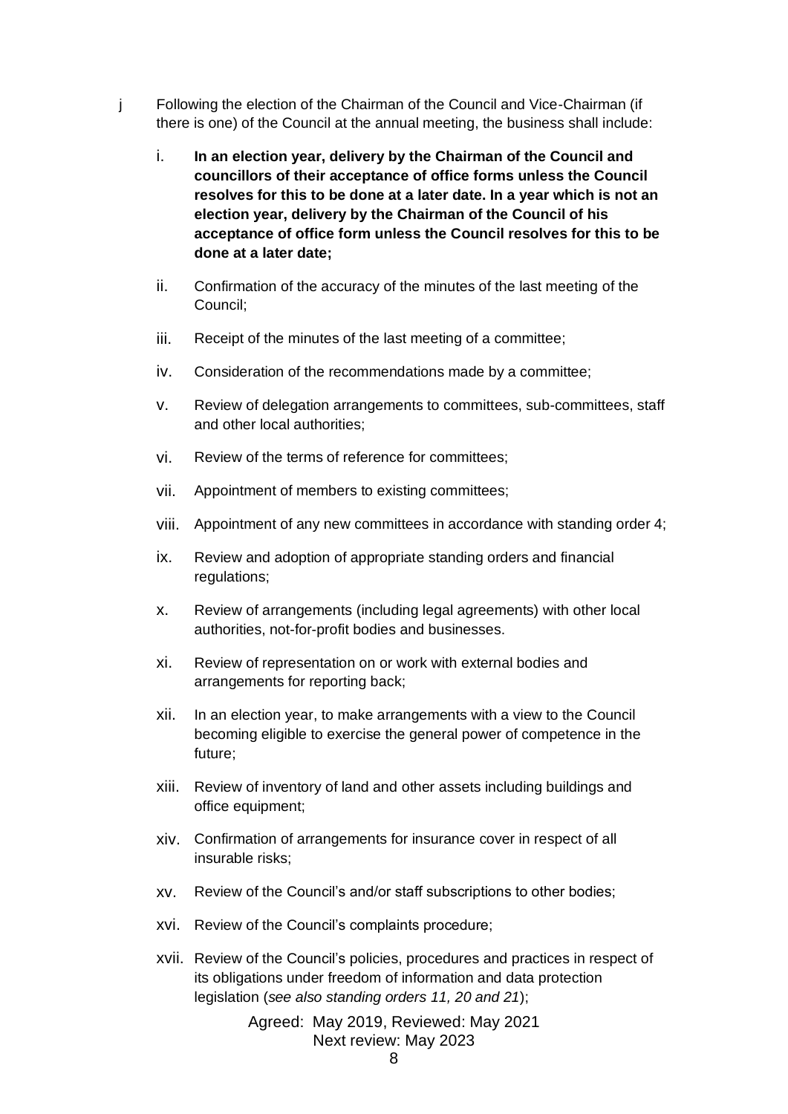- j Following the election of the Chairman of the Council and Vice-Chairman (if there is one) of the Council at the annual meeting, the business shall include:
	- i. **In an election year, delivery by the Chairman of the Council and councillors of their acceptance of office forms unless the Council resolves for this to be done at a later date. In a year which is not an election year, delivery by the Chairman of the Council of his acceptance of office form unless the Council resolves for this to be done at a later date;**
	- ii. Confirmation of the accuracy of the minutes of the last meeting of the Council;
	- iii. Receipt of the minutes of the last meeting of a committee;
	- iv. Consideration of the recommendations made by a committee;
	- v. Review of delegation arrangements to committees, sub-committees, staff and other local authorities;
	- vi. Review of the terms of reference for committees;
	- vii. Appointment of members to existing committees;
	- viii. Appointment of any new committees in accordance with standing order 4;
	- ix. Review and adoption of appropriate standing orders and financial regulations;
	- x. Review of arrangements (including legal agreements) with other local authorities, not-for-profit bodies and businesses.
	- xi. Review of representation on or work with external bodies and arrangements for reporting back;
	- xii. In an election year, to make arrangements with a view to the Council becoming eligible to exercise the general power of competence in the future;
	- xiii. Review of inventory of land and other assets including buildings and office equipment;
	- xiv. Confirmation of arrangements for insurance cover in respect of all insurable risks;
	- xv. Review of the Council's and/or staff subscriptions to other bodies;
	- xvi. Review of the Council's complaints procedure;
	- xvii. Review of the Council's policies, procedures and practices in respect of its obligations under freedom of information and data protection legislation (*see also standing orders 11, 20 and 21*);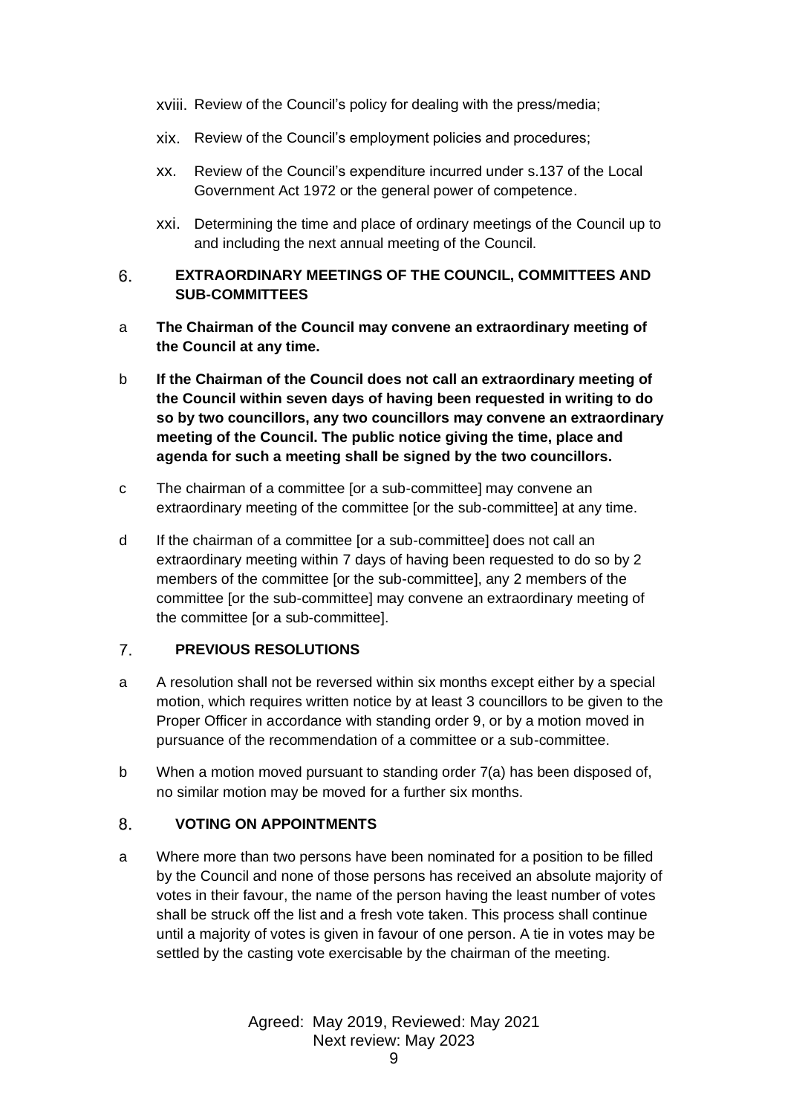- xviii. Review of the Council's policy for dealing with the press/media;
- xix. Review of the Council's employment policies and procedures;
- xx. Review of the Council's expenditure incurred under s.137 of the Local Government Act 1972 or the general power of competence.
- xxi. Determining the time and place of ordinary meetings of the Council up to and including the next annual meeting of the Council.

### <span id="page-8-0"></span>6. **EXTRAORDINARY MEETINGS OF THE COUNCIL, COMMITTEES AND SUB-COMMITTEES**

- a **The Chairman of the Council may convene an extraordinary meeting of the Council at any time.**
- b **If the Chairman of the Council does not call an extraordinary meeting of the Council within seven days of having been requested in writing to do so by two councillors, any two councillors may convene an extraordinary meeting of the Council. The public notice giving the time, place and agenda for such a meeting shall be signed by the two councillors.**
- c The chairman of a committee [or a sub-committee] may convene an extraordinary meeting of the committee [or the sub-committee] at any time.
- d If the chairman of a committee [or a sub-committee] does not call an extraordinary meeting within 7 days of having been requested to do so by 2 members of the committee [or the sub-committee], any 2 members of the committee [or the sub-committee] may convene an extraordinary meeting of the committee [or a sub-committee].

#### <span id="page-8-1"></span> $7<sub>1</sub>$ **PREVIOUS RESOLUTIONS**

- a A resolution shall not be reversed within six months except either by a special motion, which requires written notice by at least 3 councillors to be given to the Proper Officer in accordance with standing order 9, or by a motion moved in pursuance of the recommendation of a committee or a sub-committee.
- b When a motion moved pursuant to standing order 7(a) has been disposed of, no similar motion may be moved for a further six months.

#### <span id="page-8-2"></span>8. **VOTING ON APPOINTMENTS**

a Where more than two persons have been nominated for a position to be filled by the Council and none of those persons has received an absolute majority of votes in their favour, the name of the person having the least number of votes shall be struck off the list and a fresh vote taken. This process shall continue until a majority of votes is given in favour of one person. A tie in votes may be settled by the casting vote exercisable by the chairman of the meeting.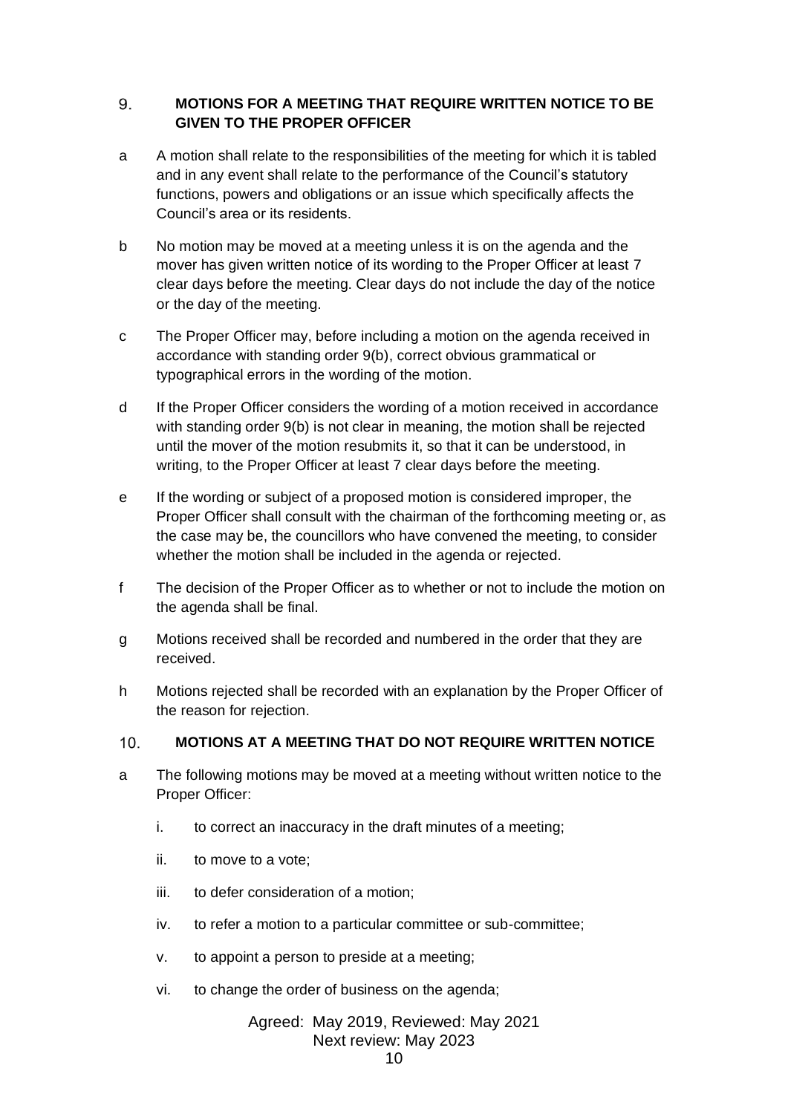## <span id="page-9-0"></span>9. **MOTIONS FOR A MEETING THAT REQUIRE WRITTEN NOTICE TO BE GIVEN TO THE PROPER OFFICER**

- a A motion shall relate to the responsibilities of the meeting for which it is tabled and in any event shall relate to the performance of the Council's statutory functions, powers and obligations or an issue which specifically affects the Council's area or its residents.
- b No motion may be moved at a meeting unless it is on the agenda and the mover has given written notice of its wording to the Proper Officer at least 7 clear days before the meeting. Clear days do not include the day of the notice or the day of the meeting.
- c The Proper Officer may, before including a motion on the agenda received in accordance with standing order 9(b), correct obvious grammatical or typographical errors in the wording of the motion.
- d If the Proper Officer considers the wording of a motion received in accordance with standing order 9(b) is not clear in meaning, the motion shall be rejected until the mover of the motion resubmits it, so that it can be understood, in writing, to the Proper Officer at least 7 clear days before the meeting.
- e If the wording or subject of a proposed motion is considered improper, the Proper Officer shall consult with the chairman of the forthcoming meeting or, as the case may be, the councillors who have convened the meeting, to consider whether the motion shall be included in the agenda or rejected.
- f The decision of the Proper Officer as to whether or not to include the motion on the agenda shall be final.
- g Motions received shall be recorded and numbered in the order that they are received.
- h Motions rejected shall be recorded with an explanation by the Proper Officer of the reason for rejection.

#### <span id="page-9-1"></span> $10<sub>1</sub>$ **MOTIONS AT A MEETING THAT DO NOT REQUIRE WRITTEN NOTICE**

- a The following motions may be moved at a meeting without written notice to the Proper Officer:
	- i. to correct an inaccuracy in the draft minutes of a meeting;
	- ii. to move to a vote;
	- iii. to defer consideration of a motion;
	- iv. to refer a motion to a particular committee or sub-committee;
	- v. to appoint a person to preside at a meeting;
	- vi. to change the order of business on the agenda;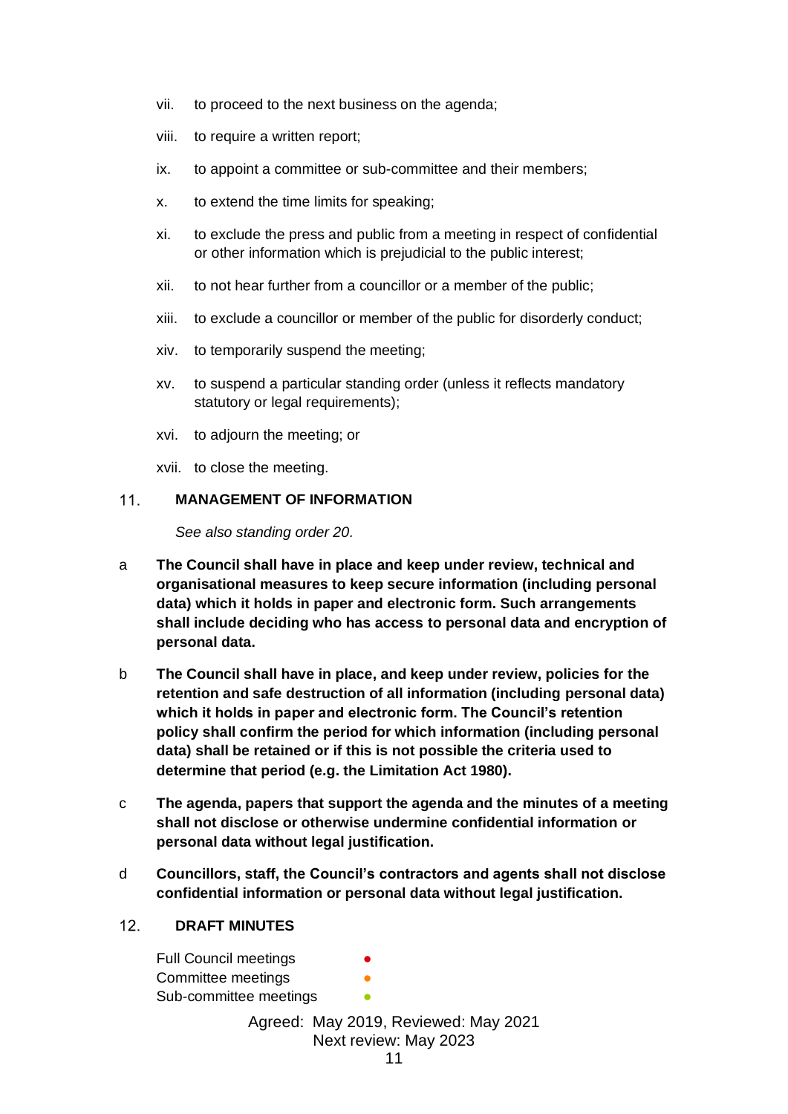- vii. to proceed to the next business on the agenda;
- viii. to require a written report;
- ix. to appoint a committee or sub-committee and their members;
- x. to extend the time limits for speaking;
- xi. to exclude the press and public from a meeting in respect of confidential or other information which is prejudicial to the public interest;
- xii. to not hear further from a councillor or a member of the public;
- xiii. to exclude a councillor or member of the public for disorderly conduct;
- xiv. to temporarily suspend the meeting;
- xv. to suspend a particular standing order (unless it reflects mandatory statutory or legal requirements);
- xvi. to adjourn the meeting; or

xvii. to close the meeting.

#### <span id="page-10-0"></span> $11.$ **MANAGEMENT OF INFORMATION**

*See also standing order 20.*

- a **The Council shall have in place and keep under review, technical and organisational measures to keep secure information (including personal data) which it holds in paper and electronic form. Such arrangements shall include deciding who has access to personal data and encryption of personal data.**
- b **The Council shall have in place, and keep under review, policies for the retention and safe destruction of all information (including personal data) which it holds in paper and electronic form. The Council's retention policy shall confirm the period for which information (including personal data) shall be retained or if this is not possible the criteria used to determine that period (e.g. the Limitation Act 1980).**
- c **The agenda, papers that support the agenda and the minutes of a meeting shall not disclose or otherwise undermine confidential information or personal data without legal justification.**
- d **Councillors, staff, the Council's contractors and agents shall not disclose confidential information or personal data without legal justification.**

#### <span id="page-10-1"></span> $12<sub>1</sub>$ **DRAFT MINUTES**

Full Council meetings Committee meetings Sub-committee meetings **•**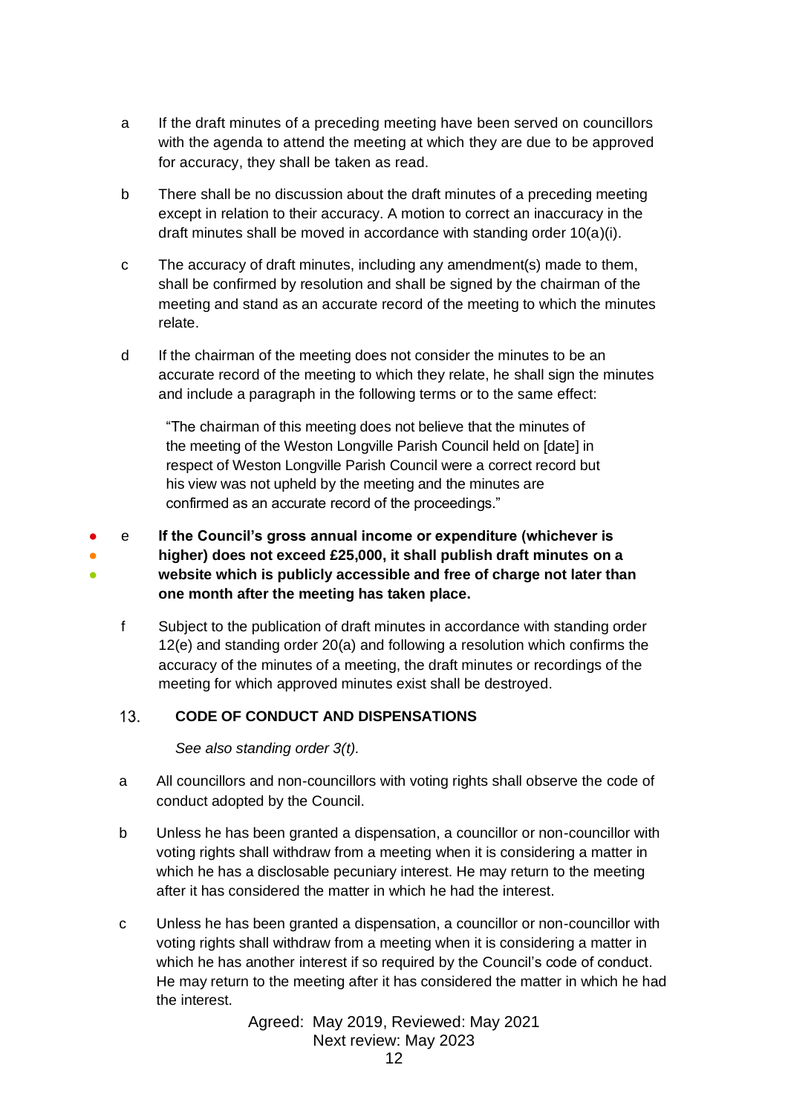- a If the draft minutes of a preceding meeting have been served on councillors with the agenda to attend the meeting at which they are due to be approved for accuracy, they shall be taken as read.
- b There shall be no discussion about the draft minutes of a preceding meeting except in relation to their accuracy. A motion to correct an inaccuracy in the draft minutes shall be moved in accordance with standing order 10(a)(i).
- c The accuracy of draft minutes, including any amendment(s) made to them, shall be confirmed by resolution and shall be signed by the chairman of the meeting and stand as an accurate record of the meeting to which the minutes relate.
- d If the chairman of the meeting does not consider the minutes to be an accurate record of the meeting to which they relate, he shall sign the minutes and include a paragraph in the following terms or to the same effect:

"The chairman of this meeting does not believe that the minutes of the meeting of the Weston Longville Parish Council held on [date] in respect of Weston Longville Parish Council were a correct record but his view was not upheld by the meeting and the minutes are confirmed as an accurate record of the proceedings."

● ● ● e **If the Council's gross annual income or expenditure (whichever is higher) does not exceed £25,000, it shall publish draft minutes on a website which is publicly accessible and free of charge not later than one month after the meeting has taken place.**

f Subject to the publication of draft minutes in accordance with standing order 12(e) and standing order 20(a) and following a resolution which confirms the accuracy of the minutes of a meeting, the draft minutes or recordings of the meeting for which approved minutes exist shall be destroyed.

#### <span id="page-11-0"></span> $13.$ **CODE OF CONDUCT AND DISPENSATIONS**

*See also standing order 3(t).*

- a All councillors and non-councillors with voting rights shall observe the code of conduct adopted by the Council.
- b Unless he has been granted a dispensation, a councillor or non-councillor with voting rights shall withdraw from a meeting when it is considering a matter in which he has a disclosable pecuniary interest. He may return to the meeting after it has considered the matter in which he had the interest.
- c Unless he has been granted a dispensation, a councillor or non-councillor with voting rights shall withdraw from a meeting when it is considering a matter in which he has another interest if so required by the Council's code of conduct. He may return to the meeting after it has considered the matter in which he had the interest.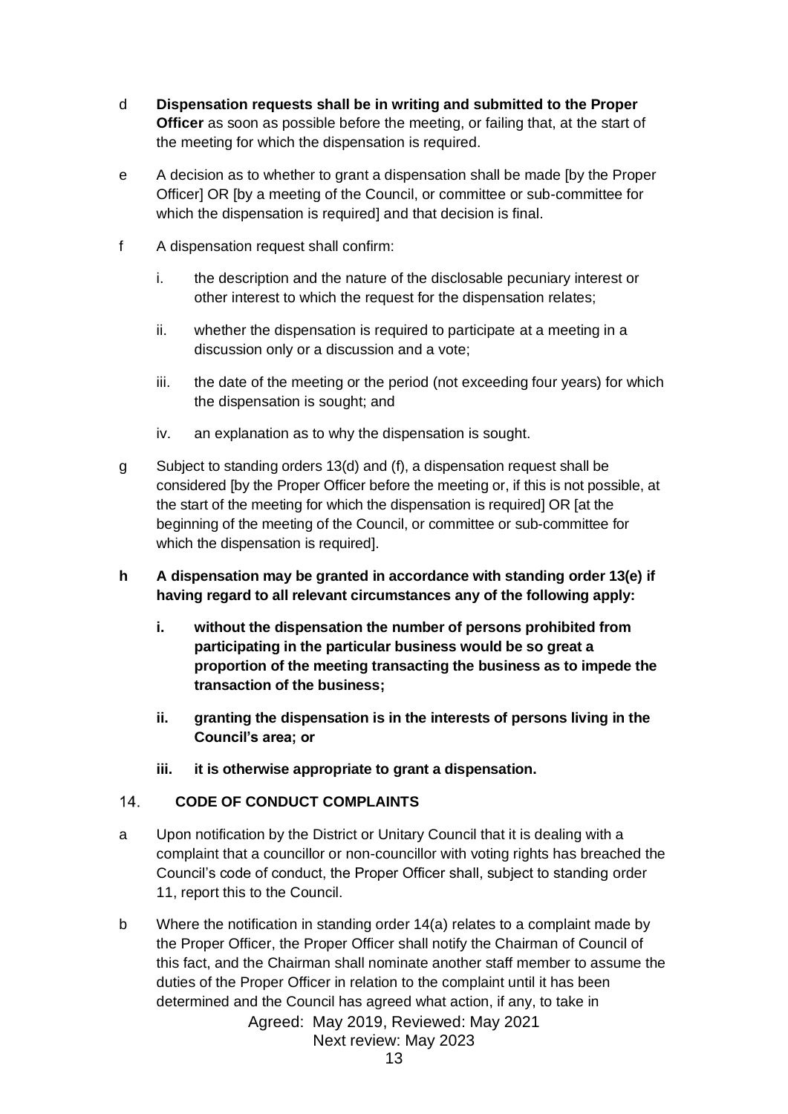- d **Dispensation requests shall be in writing and submitted to the Proper Officer** as soon as possible before the meeting, or failing that, at the start of the meeting for which the dispensation is required.
- e A decision as to whether to grant a dispensation shall be made [by the Proper Officer] OR [by a meeting of the Council, or committee or sub-committee for which the dispensation is required] and that decision is final.
- f A dispensation request shall confirm:
	- i. the description and the nature of the disclosable pecuniary interest or other interest to which the request for the dispensation relates;
	- ii. whether the dispensation is required to participate at a meeting in a discussion only or a discussion and a vote;
	- iii. the date of the meeting or the period (not exceeding four years) for which the dispensation is sought; and
	- iv. an explanation as to why the dispensation is sought.
- g Subject to standing orders 13(d) and (f), a dispensation request shall be considered [by the Proper Officer before the meeting or, if this is not possible, at the start of the meeting for which the dispensation is required] OR [at the beginning of the meeting of the Council, or committee or sub-committee for which the dispensation is required].
- **h A dispensation may be granted in accordance with standing order 13(e) if having regard to all relevant circumstances any of the following apply:**
	- **i. without the dispensation the number of persons prohibited from participating in the particular business would be so great a proportion of the meeting transacting the business as to impede the transaction of the business;**
	- **ii. granting the dispensation is in the interests of persons living in the Council's area; or**
	- **iii. it is otherwise appropriate to grant a dispensation.**

#### <span id="page-12-0"></span> $14.$ **CODE OF CONDUCT COMPLAINTS**

- a Upon notification by the District or Unitary Council that it is dealing with a complaint that a councillor or non-councillor with voting rights has breached the Council's code of conduct, the Proper Officer shall, subject to standing order 11, report this to the Council.
- b Where the notification in standing order 14(a) relates to a complaint made by the Proper Officer, the Proper Officer shall notify the Chairman of Council of this fact, and the Chairman shall nominate another staff member to assume the duties of the Proper Officer in relation to the complaint until it has been determined and the Council has agreed what action, if any, to take in

Agreed: May 2019, Reviewed: May 2021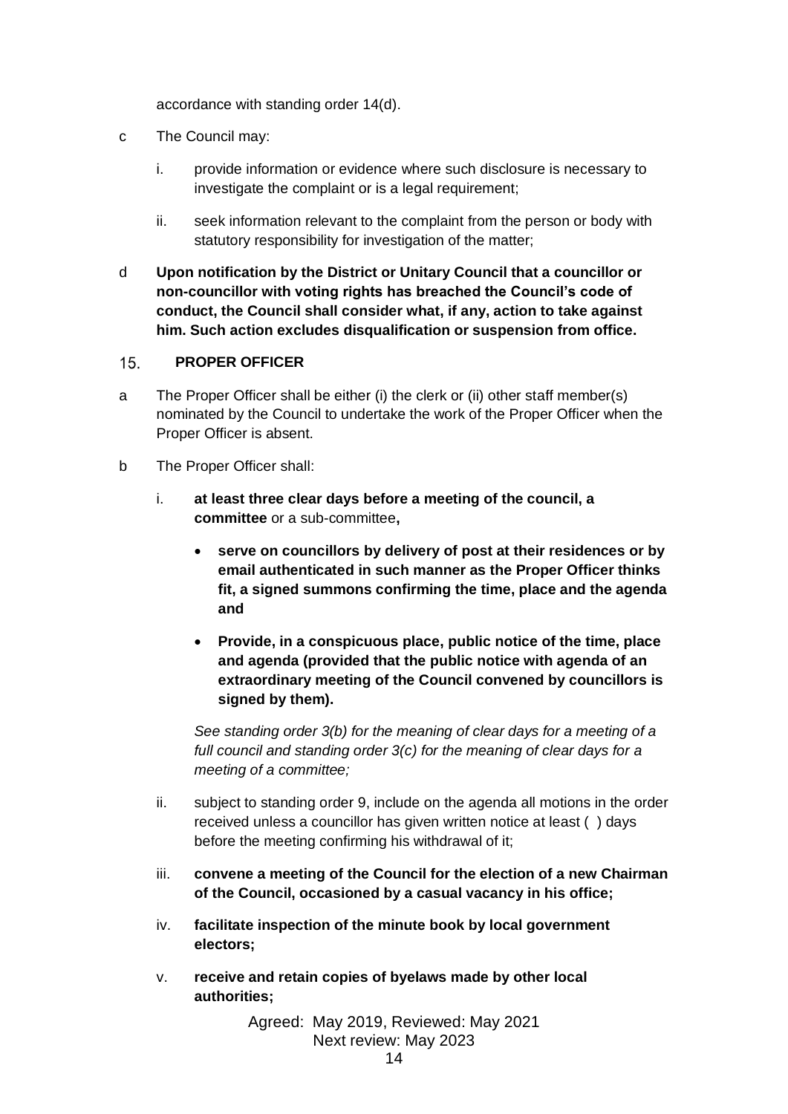accordance with standing order 14(d).

- c The Council may:
	- i. provide information or evidence where such disclosure is necessary to investigate the complaint or is a legal requirement;
	- ii. seek information relevant to the complaint from the person or body with statutory responsibility for investigation of the matter;
- d **Upon notification by the District or Unitary Council that a councillor or non-councillor with voting rights has breached the Council's code of conduct, the Council shall consider what, if any, action to take against him. Such action excludes disqualification or suspension from office.**

#### <span id="page-13-0"></span> $15.$ **PROPER OFFICER**

- a The Proper Officer shall be either (i) the clerk or (ii) other staff member(s) nominated by the Council to undertake the work of the Proper Officer when the Proper Officer is absent.
- b The Proper Officer shall:
	- i. **at least three clear days before a meeting of the council, a committee** or a sub-committee**,**
		- **serve on councillors by delivery of post at their residences or by email authenticated in such manner as the Proper Officer thinks fit, a signed summons confirming the time, place and the agenda and**
		- **Provide, in a conspicuous place, public notice of the time, place and agenda (provided that the public notice with agenda of an extraordinary meeting of the Council convened by councillors is signed by them).**

*See standing order 3(b) for the meaning of clear days for a meeting of a full council and standing order 3(c) for the meaning of clear days for a meeting of a committee;*

- ii. subject to standing order 9, include on the agenda all motions in the order received unless a councillor has given written notice at least ( ) days before the meeting confirming his withdrawal of it;
- iii. **convene a meeting of the Council for the election of a new Chairman of the Council, occasioned by a casual vacancy in his office;**
- iv. **facilitate inspection of the minute book by local government electors;**
- v. **receive and retain copies of byelaws made by other local authorities;**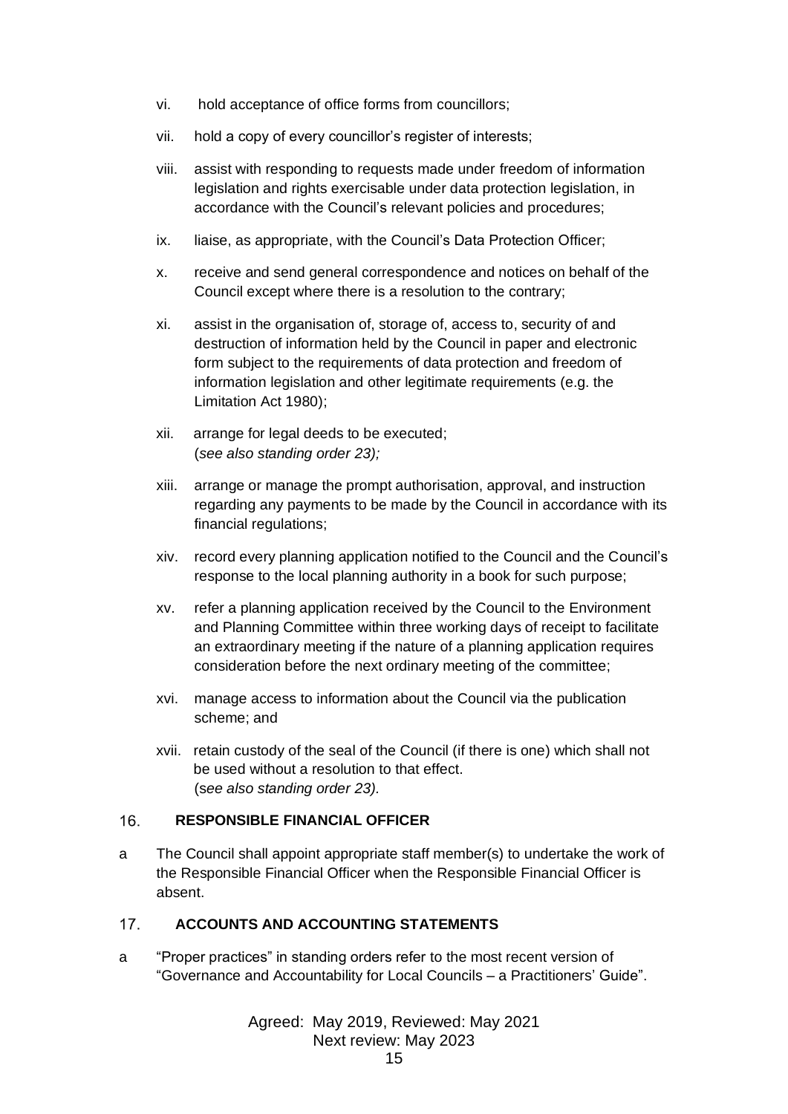- vi. hold acceptance of office forms from councillors;
- vii. hold a copy of every councillor's register of interests;
- viii. assist with responding to requests made under freedom of information legislation and rights exercisable under data protection legislation, in accordance with the Council's relevant policies and procedures;
- ix. liaise, as appropriate, with the Council's Data Protection Officer;
- x. receive and send general correspondence and notices on behalf of the Council except where there is a resolution to the contrary;
- xi. assist in the organisation of, storage of, access to, security of and destruction of information held by the Council in paper and electronic form subject to the requirements of data protection and freedom of information legislation and other legitimate requirements (e.g. the Limitation Act 1980);
- xii. arrange for legal deeds to be executed; (*see also standing order 23);*
- xiii. arrange or manage the prompt authorisation, approval, and instruction regarding any payments to be made by the Council in accordance with its financial regulations;
- xiv. record every planning application notified to the Council and the Council's response to the local planning authority in a book for such purpose;
- xv. refer a planning application received by the Council to the Environment and Planning Committee within three working days of receipt to facilitate an extraordinary meeting if the nature of a planning application requires consideration before the next ordinary meeting of the committee;
- xvi. manage access to information about the Council via the publication scheme; and
- xvii. retain custody of the seal of the Council (if there is one) which shall not be used without a resolution to that effect. (s*ee also standing order 23).*

#### <span id="page-14-0"></span> $16.$ **RESPONSIBLE FINANCIAL OFFICER**

a The Council shall appoint appropriate staff member(s) to undertake the work of the Responsible Financial Officer when the Responsible Financial Officer is absent.

#### <span id="page-14-1"></span> $17.$ **ACCOUNTS AND ACCOUNTING STATEMENTS**

a "Proper practices" in standing orders refer to the most recent version of "Governance and Accountability for Local Councils – a Practitioners' Guide".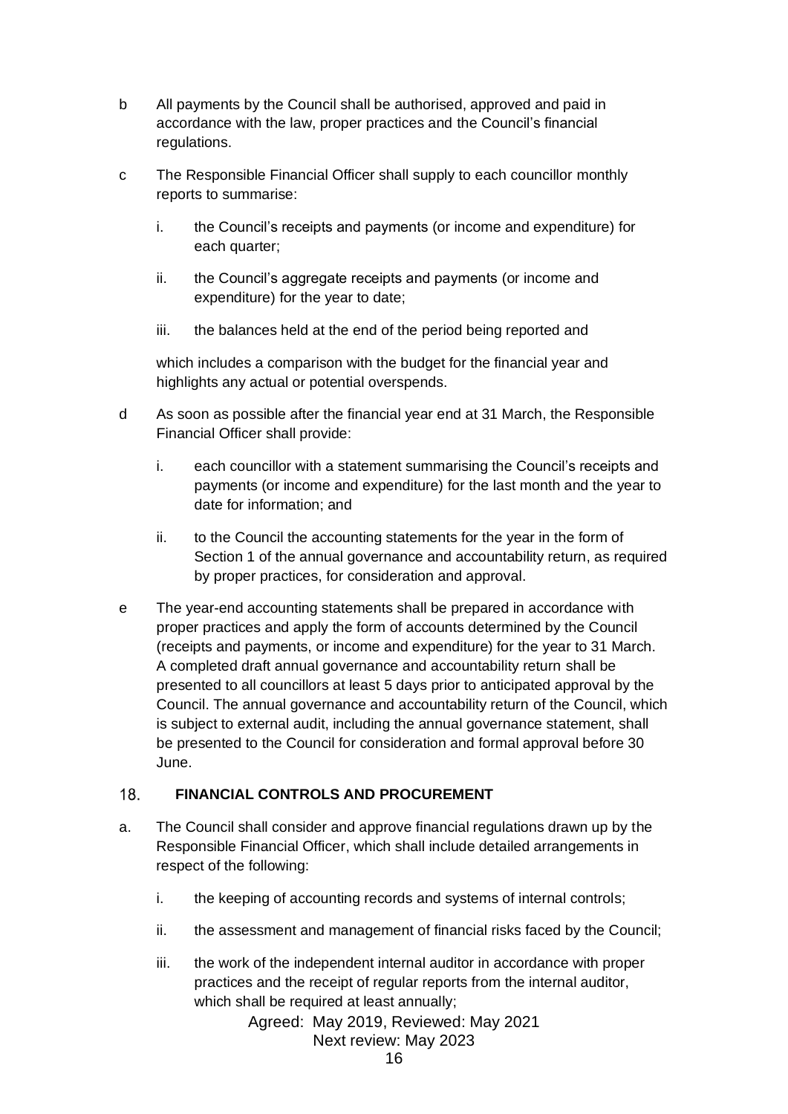- b All payments by the Council shall be authorised, approved and paid in accordance with the law, proper practices and the Council's financial regulations.
- c The Responsible Financial Officer shall supply to each councillor monthly reports to summarise:
	- i. the Council's receipts and payments (or income and expenditure) for each quarter;
	- ii. the Council's aggregate receipts and payments (or income and expenditure) for the year to date;
	- iii. the balances held at the end of the period being reported and

which includes a comparison with the budget for the financial year and highlights any actual or potential overspends.

- d As soon as possible after the financial year end at 31 March, the Responsible Financial Officer shall provide:
	- i. each councillor with a statement summarising the Council's receipts and payments (or income and expenditure) for the last month and the year to date for information; and
	- ii. to the Council the accounting statements for the year in the form of Section 1 of the annual governance and accountability return, as required by proper practices, for consideration and approval.
- e The year-end accounting statements shall be prepared in accordance with proper practices and apply the form of accounts determined by the Council (receipts and payments, or income and expenditure) for the year to 31 March. A completed draft annual governance and accountability return shall be presented to all councillors at least 5 days prior to anticipated approval by the Council. The annual governance and accountability return of the Council, which is subject to external audit, including the annual governance statement, shall be presented to the Council for consideration and formal approval before 30 June.

#### <span id="page-15-0"></span> $18.$ **FINANCIAL CONTROLS AND PROCUREMENT**

- a. The Council shall consider and approve financial regulations drawn up by the Responsible Financial Officer, which shall include detailed arrangements in respect of the following:
	- i. the keeping of accounting records and systems of internal controls;
	- ii. the assessment and management of financial risks faced by the Council;
	- iii. the work of the independent internal auditor in accordance with proper practices and the receipt of regular reports from the internal auditor, which shall be required at least annually;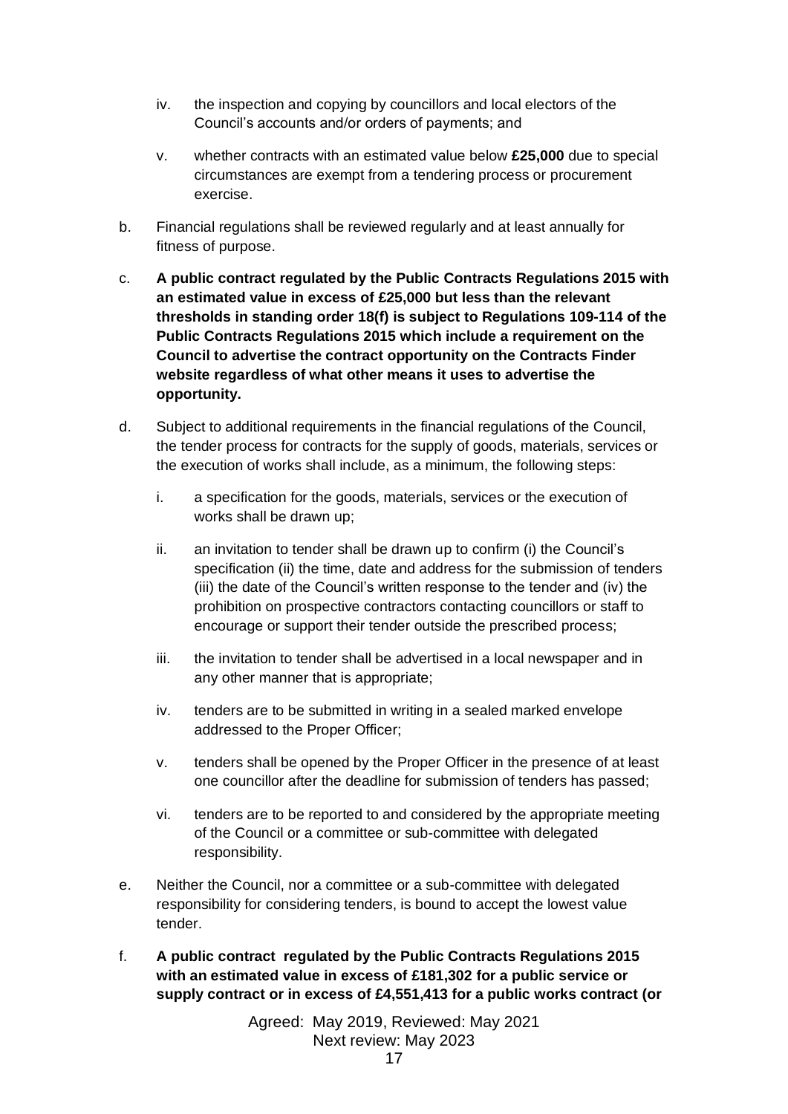- iv. the inspection and copying by councillors and local electors of the Council's accounts and/or orders of payments; and
- v. whether contracts with an estimated value below **£25,000** due to special circumstances are exempt from a tendering process or procurement exercise.
- b. Financial regulations shall be reviewed regularly and at least annually for fitness of purpose.
- c. **A public contract regulated by the Public Contracts Regulations 2015 with an estimated value in excess of £25,000 but less than the relevant thresholds in standing order 18(f) is subject to Regulations 109-114 of the Public Contracts Regulations 2015 which include a requirement on the Council to advertise the contract opportunity on the Contracts Finder website regardless of what other means it uses to advertise the opportunity.**
- d. Subject to additional requirements in the financial regulations of the Council, the tender process for contracts for the supply of goods, materials, services or the execution of works shall include, as a minimum, the following steps:
	- i. a specification for the goods, materials, services or the execution of works shall be drawn up;
	- ii. an invitation to tender shall be drawn up to confirm (i) the Council's specification (ii) the time, date and address for the submission of tenders (iii) the date of the Council's written response to the tender and (iv) the prohibition on prospective contractors contacting councillors or staff to encourage or support their tender outside the prescribed process;
	- iii. the invitation to tender shall be advertised in a local newspaper and in any other manner that is appropriate;
	- iv. tenders are to be submitted in writing in a sealed marked envelope addressed to the Proper Officer;
	- v. tenders shall be opened by the Proper Officer in the presence of at least one councillor after the deadline for submission of tenders has passed;
	- vi. tenders are to be reported to and considered by the appropriate meeting of the Council or a committee or sub-committee with delegated responsibility.
- e. Neither the Council, nor a committee or a sub-committee with delegated responsibility for considering tenders, is bound to accept the lowest value tender.
- f. **A public contract regulated by the Public Contracts Regulations 2015 with an estimated value in excess of £181,302 for a public service or supply contract or in excess of £4,551,413 for a public works contract (or**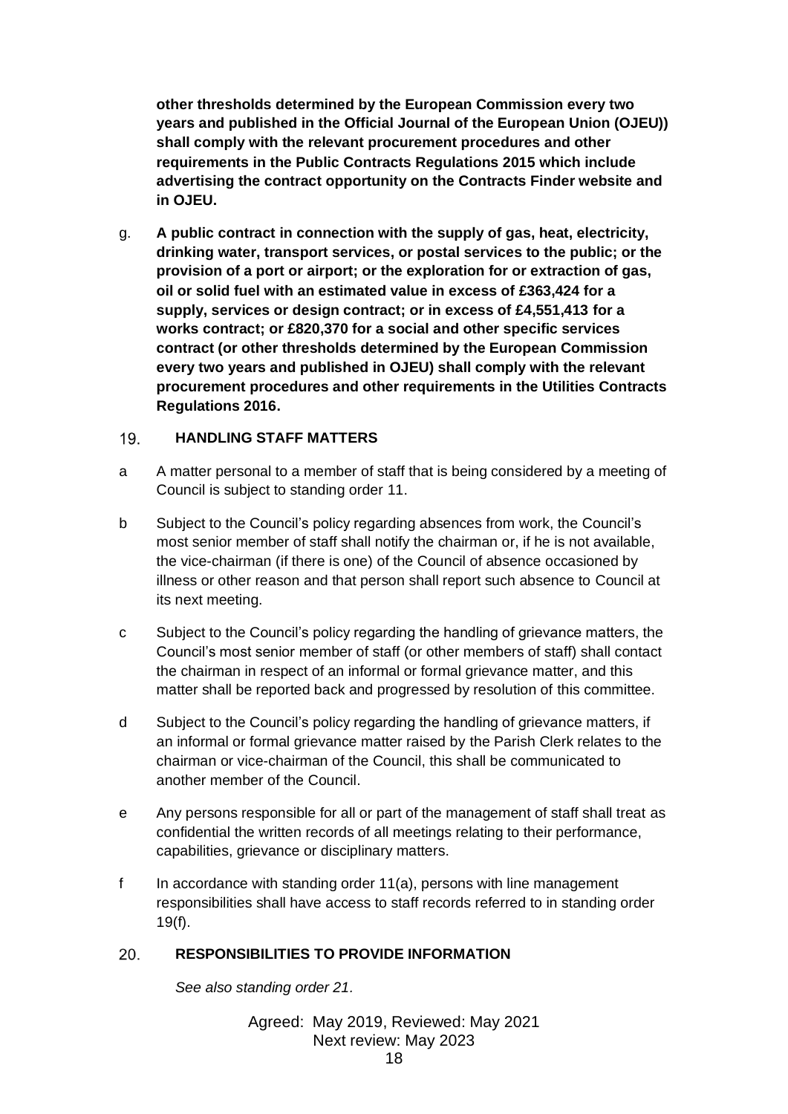**other thresholds determined by the European Commission every two years and published in the Official Journal of the European Union (OJEU)) shall comply with the relevant procurement procedures and other requirements in the Public Contracts Regulations 2015 which include advertising the contract opportunity on the Contracts Finder website and in OJEU.**

g. **A public contract in connection with the supply of gas, heat, electricity, drinking water, transport services, or postal services to the public; or the provision of a port or airport; or the exploration for or extraction of gas, oil or solid fuel with an estimated value in excess of £363,424 for a supply, services or design contract; or in excess of £4,551,413 for a works contract; or £820,370 for a social and other specific services contract (or other thresholds determined by the European Commission every two years and published in OJEU) shall comply with the relevant procurement procedures and other requirements in the Utilities Contracts Regulations 2016.**

#### <span id="page-17-0"></span> $19.$ **HANDLING STAFF MATTERS**

- a A matter personal to a member of staff that is being considered by a meeting of Council is subject to standing order 11.
- b Subject to the Council's policy regarding absences from work, the Council's most senior member of staff shall notify the chairman or, if he is not available, the vice-chairman (if there is one) of the Council of absence occasioned by illness or other reason and that person shall report such absence to Council at its next meeting.
- c Subject to the Council's policy regarding the handling of grievance matters, the Council's most senior member of staff (or other members of staff) shall contact the chairman in respect of an informal or formal grievance matter, and this matter shall be reported back and progressed by resolution of this committee.
- d Subject to the Council's policy regarding the handling of grievance matters, if an informal or formal grievance matter raised by the Parish Clerk relates to the chairman or vice-chairman of the Council, this shall be communicated to another member of the Council.
- e Any persons responsible for all or part of the management of staff shall treat as confidential the written records of all meetings relating to their performance, capabilities, grievance or disciplinary matters.
- f In accordance with standing order 11(a), persons with line management responsibilities shall have access to staff records referred to in standing order  $19(f)$ .

#### <span id="page-17-1"></span>20. **RESPONSIBILITIES TO PROVIDE INFORMATION**

*See also standing order 21.*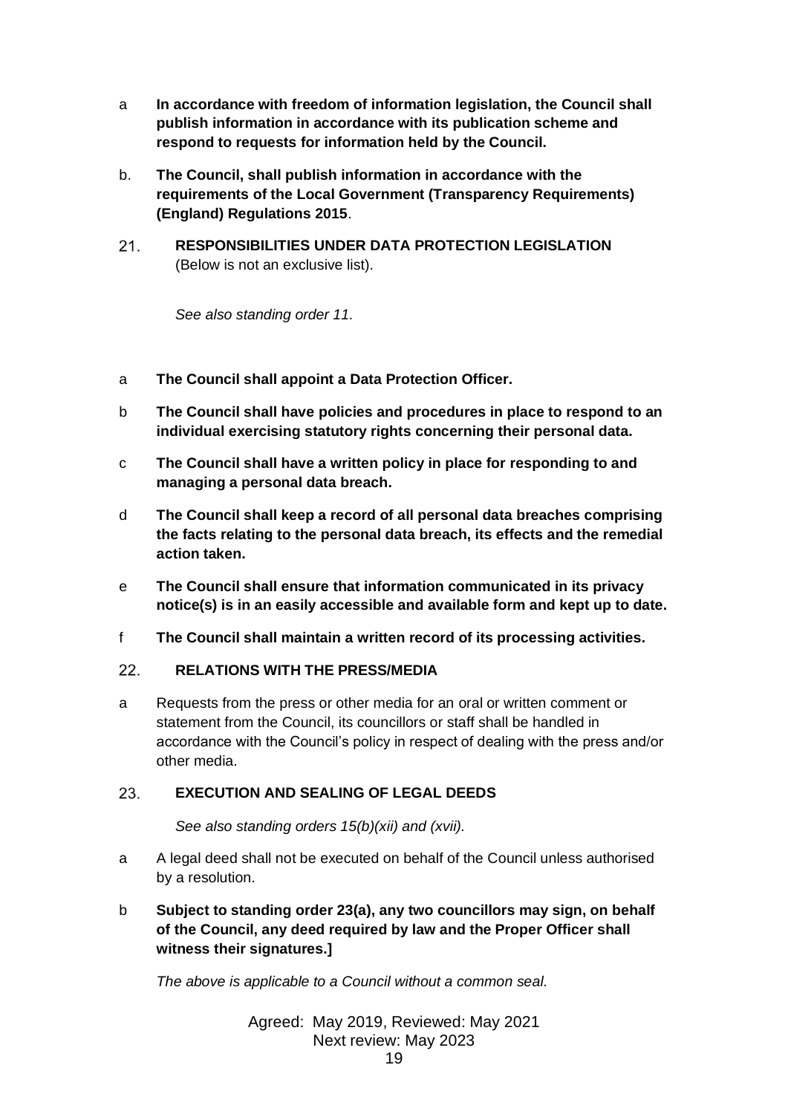- a **In accordance with freedom of information legislation, the Council shall publish information in accordance with its publication scheme and respond to requests for information held by the Council.**
- b. **The Council, shall publish information in accordance with the requirements of the Local Government (Transparency Requirements) (England) Regulations 2015**.
- <span id="page-18-0"></span> $21.$ **RESPONSIBILITIES UNDER DATA PROTECTION LEGISLATION**  (Below is not an exclusive list).

*See also standing order 11.*

- a **The Council shall appoint a Data Protection Officer.**
- b **The Council shall have policies and procedures in place to respond to an individual exercising statutory rights concerning their personal data.**
- c **The Council shall have a written policy in place for responding to and managing a personal data breach.**
- d **The Council shall keep a record of all personal data breaches comprising the facts relating to the personal data breach, its effects and the remedial action taken.**
- e **The Council shall ensure that information communicated in its privacy notice(s) is in an easily accessible and available form and kept up to date.**
- f **The Council shall maintain a written record of its processing activities.**

#### <span id="page-18-1"></span> $22.$ **RELATIONS WITH THE PRESS/MEDIA**

a Requests from the press or other media for an oral or written comment or statement from the Council, its councillors or staff shall be handled in accordance with the Council's policy in respect of dealing with the press and/or other media.

#### <span id="page-18-2"></span> $23.$ **EXECUTION AND SEALING OF LEGAL DEEDS**

*See also standing orders 15(b)(xii) and (xvii).*

- a A legal deed shall not be executed on behalf of the Council unless authorised by a resolution.
- b **Subject to standing order 23(a), any two councillors may sign, on behalf of the Council, any deed required by law and the Proper Officer shall witness their signatures.]**

*The above is applicable to a Council without a common seal.*